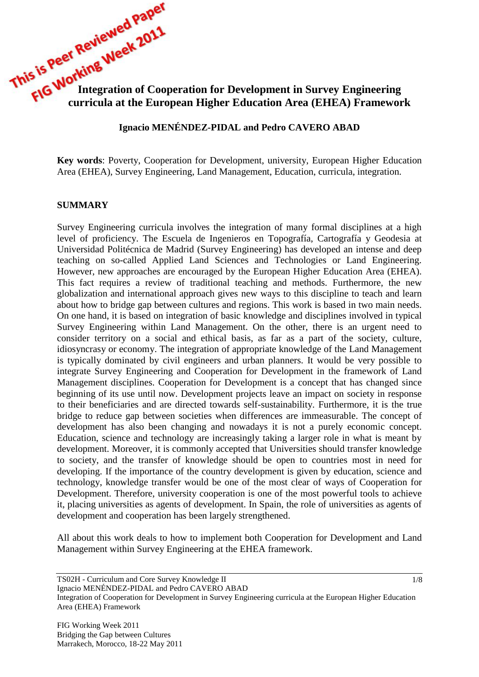# **Inis is The Working Ween**<br> **Integration of Cooperation for Development in Survey Engineering curricula at the European Higher Education curricula at the European Higher Education Area (EHEA) Framework**

### **Ignacio MENÉNDEZ-PIDAL and Pedro CAVERO ABAD**

**Key words**: Poverty, Cooperation for Development, university, European Higher Education Area (EHEA), Survey Engineering, Land Management, Education, curricula, integration.

### **SUMMARY**

Survey Engineering curricula involves the integration of many formal disciplines at a high level of proficiency. The Escuela de Ingenieros en Topografía, Cartografía y Geodesia at Universidad Politécnica de Madrid (Survey Engineering) has developed an intense and deep teaching on so-called Applied Land Sciences and Technologies or Land Engineering. However, new approaches are encouraged by the European Higher Education Area (EHEA). This fact requires a review of traditional teaching and methods. Furthermore, the new globalization and international approach gives new ways to this discipline to teach and learn about how to bridge gap between cultures and regions. This work is based in two main needs. On one hand, it is based on integration of basic knowledge and disciplines involved in typical Survey Engineering within Land Management. On the other, there is an urgent need to consider territory on a social and ethical basis, as far as a part of the society, culture, idiosyncrasy or economy. The integration of appropriate knowledge of the Land Management is typically dominated by civil engineers and urban planners. It would be very possible to integrate Survey Engineering and Cooperation for Development in the framework of Land Management disciplines. Cooperation for Development is a concept that has changed since beginning of its use until now. Development projects leave an impact on society in response to their beneficiaries and are directed towards self-sustainability. Furthermore, it is the true bridge to reduce gap between societies when differences are immeasurable. The concept of development has also been changing and nowadays it is not a purely economic concept. Education, science and technology are increasingly taking a larger role in what is meant by development. Moreover, it is commonly accepted that Universities should transfer knowledge to society, and the transfer of knowledge should be open to countries most in need for developing. If the importance of the country development is given by education, science and technology, knowledge transfer would be one of the most clear of ways of Cooperation for Development. Therefore, university cooperation is one of the most powerful tools to achieve it, placing universities as agents of development. In Spain, the role of universities as agents of development and cooperation has been largely strengthened.

All about this work deals to how to implement both Cooperation for Development and Land Management within Survey Engineering at the EHEA framework.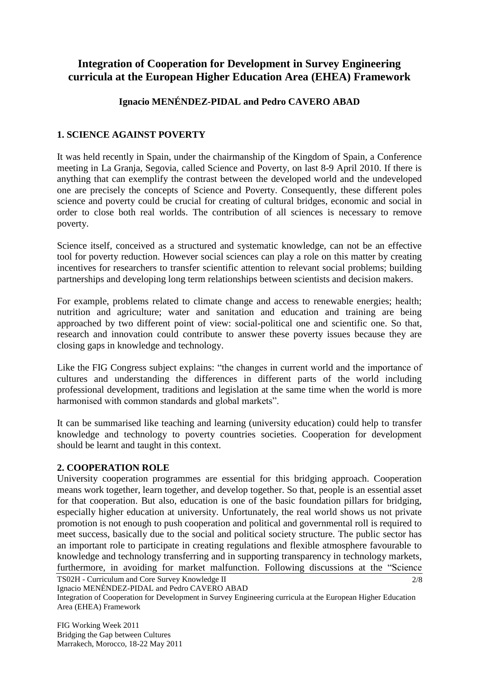# **Integration of Cooperation for Development in Survey Engineering curricula at the European Higher Education Area (EHEA) Framework**

# **Ignacio MENÉNDEZ-PIDAL and Pedro CAVERO ABAD**

# **1. SCIENCE AGAINST POVERTY**

It was held recently in Spain, under the chairmanship of the Kingdom of Spain, a Conference meeting in La Granja, Segovia, called Science and Poverty, on last 8-9 April 2010. If there is anything that can exemplify the contrast between the developed world and the undeveloped one are precisely the concepts of Science and Poverty. Consequently, these different poles science and poverty could be crucial for creating of cultural bridges, economic and social in order to close both real worlds. The contribution of all sciences is necessary to remove poverty.

Science itself, conceived as a structured and systematic knowledge, can not be an effective tool for poverty reduction. However social sciences can play a role on this matter by creating incentives for researchers to transfer scientific attention to relevant social problems; building partnerships and developing long term relationships between scientists and decision makers.

For example, problems related to climate change and access to renewable energies; health; nutrition and agriculture; water and sanitation and education and training are being approached by two different point of view: social-political one and scientific one. So that, research and innovation could contribute to answer these poverty issues because they are closing gaps in knowledge and technology.

Like the FIG Congress subject explains: "the changes in current world and the importance of cultures and understanding the differences in different parts of the world including professional development, traditions and legislation at the same time when the world is more harmonised with common standards and global markets".

It can be summarised like teaching and learning (university education) could help to transfer knowledge and technology to poverty countries societies. Cooperation for development should be learnt and taught in this context.

### **2. COOPERATION ROLE**

University cooperation programmes are essential for this bridging approach. Cooperation means work together, learn together, and develop together. So that, people is an essential asset for that cooperation. But also, education is one of the basic foundation pillars for bridging, especially higher education at university. Unfortunately, the real world shows us not private promotion is not enough to push cooperation and political and governmental roll is required to meet success, basically due to the social and political society structure. The public sector has an important role to participate in creating regulations and flexible atmosphere favourable to knowledge and technology transferring and in supporting transparency in technology markets, furthermore, in avoiding for market malfunction. Following discussions at the "Science

TS02H - Curriculum and Core Survey Knowledge II

Ignacio MENÉNDEZ-PIDAL and Pedro CAVERO ABAD

Integration of Cooperation for Development in Survey Engineering curricula at the European Higher Education Area (EHEA) Framework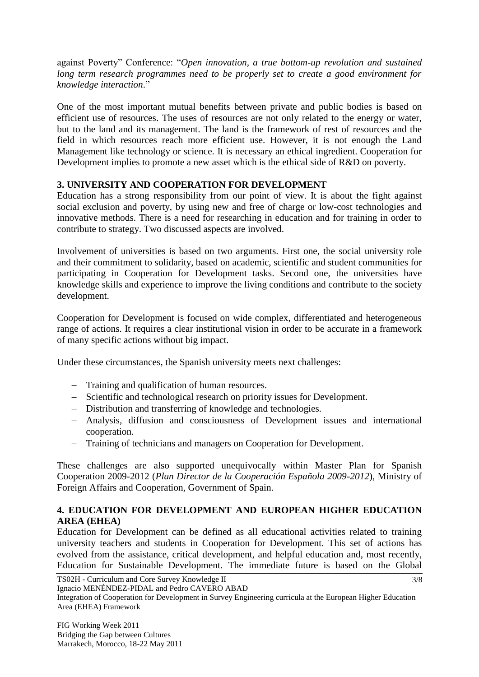against Poverty" Conference: "*Open innovation, a true bottom-up revolution and sustained long term research programmes need to be properly set to create a good environment for knowledge interaction*."

One of the most important mutual benefits between private and public bodies is based on efficient use of resources. The uses of resources are not only related to the energy or water, but to the land and its management. The land is the framework of rest of resources and the field in which resources reach more efficient use. However, it is not enough the Land Management like technology or science. It is necessary an ethical ingredient. Cooperation for Development implies to promote a new asset which is the ethical side of R&D on poverty.

# **3. UNIVERSITY AND COOPERATION FOR DEVELOPMENT**

Education has a strong responsibility from our point of view. It is about the fight against social exclusion and poverty, by using new and free of charge or low-cost technologies and innovative methods. There is a need for researching in education and for training in order to contribute to strategy. Two discussed aspects are involved.

Involvement of universities is based on two arguments. First one, the social university role and their commitment to solidarity, based on academic, scientific and student communities for participating in Cooperation for Development tasks. Second one, the universities have knowledge skills and experience to improve the living conditions and contribute to the society development.

Cooperation for Development is focused on wide complex, differentiated and heterogeneous range of actions. It requires a clear institutional vision in order to be accurate in a framework of many specific actions without big impact.

Under these circumstances, the Spanish university meets next challenges:

- Training and qualification of human resources.
- Scientific and technological research on priority issues for Development.
- Distribution and transferring of knowledge and technologies.
- Analysis, diffusion and consciousness of Development issues and international cooperation.
- Training of technicians and managers on Cooperation for Development.

These challenges are also supported unequivocally within Master Plan for Spanish Cooperation 2009-2012 (*Plan Director de la Cooperación Española 2009-2012*), Ministry of Foreign Affairs and Cooperation, Government of Spain.

# **4. EDUCATION FOR DEVELOPMENT AND EUROPEAN HIGHER EDUCATION AREA (EHEA)**

Education for Development can be defined as all educational activities related to training university teachers and students in Cooperation for Development. This set of actions has evolved from the assistance, critical development, and helpful education and, most recently, Education for Sustainable Development. The immediate future is based on the Global

```
Ignacio MENÉNDEZ-PIDAL and Pedro CAVERO ABAD
```
Integration of Cooperation for Development in Survey Engineering curricula at the European Higher Education Area (EHEA) Framework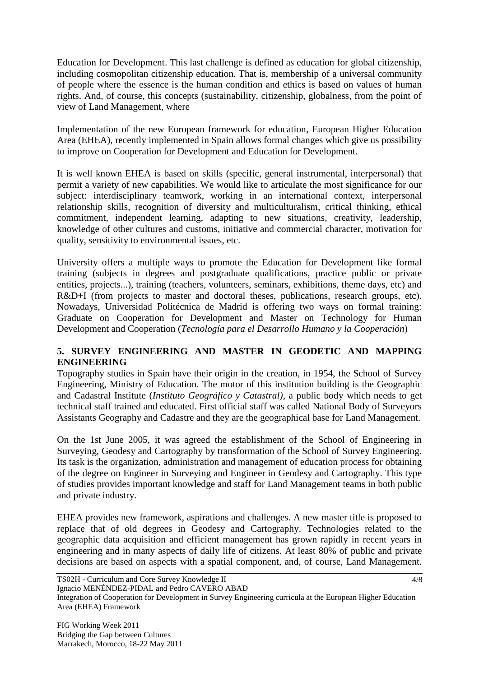Education for Development. This last challenge is defined as education for global citizenship, including cosmopolitan citizenship education. That is, membership of a universal community of people where the essence is the human condition and ethics is based on values of human rights. And, of course, this concepts (sustainability, citizenship, globalness, from the point of view of Land Management, where

Implementation of the new European framework for education, European Higher Education Area (EHEA), recently implemented in Spain allows formal changes which give us possibility to improve on Cooperation for Development and Education for Development.

It is well known EHEA is based on skills (specific, general instrumental, interpersonal) that permit a variety of new capabilities. We would like to articulate the most significance for our subject: interdisciplinary teamwork, working in an international context, interpersonal relationship skills, recognition of diversity and multiculturalism, critical thinking, ethical commitment, independent learning, adapting to new situations, creativity, leadership, knowledge of other cultures and customs, initiative and commercial character, motivation for quality, sensitivity to environmental issues, etc.

University offers a multiple ways to promote the Education for Development like formal training (subjects in degrees and postgraduate qualifications, practice public or private entities, projects...), training (teachers, volunteers, seminars, exhibitions, theme days, etc) and R&D+I (from projects to master and doctoral theses, publications, research groups, etc). Nowadays, Universidad Politécnica de Madrid is offering two ways on formal training: Graduate on Cooperation for Development and Master on Technology for Human Development and Cooperation (*Tecnología para el Desarrollo Humano y la Cooperación*)

### **5. SURVEY ENGINEERING AND MASTER IN GEODETIC AND MAPPING ENGINEERING**

Topography studies in Spain have their origin in the creation, in 1954, the School of Survey Engineering, Ministry of Education. The motor of this institution building is the Geographic and Cadastral Institute (*Instituto Geográfico y Catastral),* a public body which needs to get technical staff trained and educated. First official staff was called National Body of Surveyors Assistants Geography and Cadastre and they are the geographical base for Land Management.

On the 1st June 2005, it was agreed the establishment of the School of Engineering in Surveying, Geodesy and Cartography by transformation of the School of Survey Engineering. Its task is the organization, administration and management of education process for obtaining of the degree on Engineer in Surveying and Engineer in Geodesy and Cartography. This type of studies provides important knowledge and staff for Land Management teams in both public and private industry.

EHEA provides new framework, aspirations and challenges. A new master title is proposed to replace that of old degrees in Geodesy and Cartography. Technologies related to the geographic data acquisition and efficient management has grown rapidly in recent years in engineering and in many aspects of daily life of citizens. At least 80% of public and private decisions are based on aspects with a spatial component, and, of course, Land Management.

Integration of Cooperation for Development in Survey Engineering curricula at the European Higher Education Area (EHEA) Framework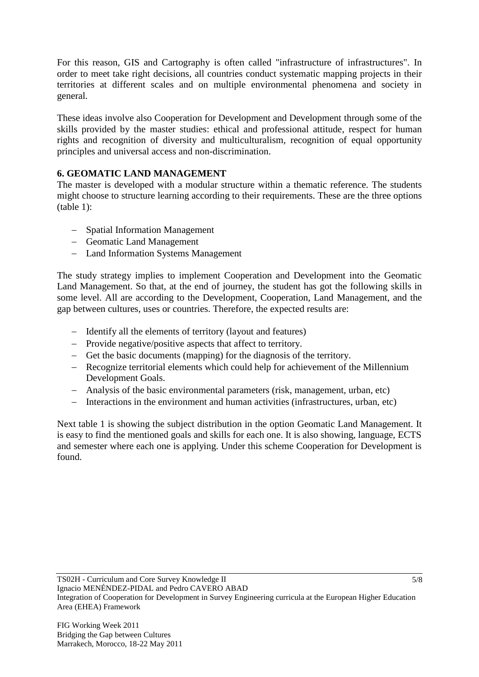For this reason, GIS and Cartography is often called "infrastructure of infrastructures". In order to meet take right decisions, all countries conduct systematic mapping projects in their territories at different scales and on multiple environmental phenomena and society in general.

These ideas involve also Cooperation for Development and Development through some of the skills provided by the master studies: ethical and professional attitude, respect for human rights and recognition of diversity and multiculturalism, recognition of equal opportunity principles and universal access and non-discrimination.

# **6. GEOMATIC LAND MANAGEMENT**

The master is developed with a modular structure within a thematic reference. The students might choose to structure learning according to their requirements. These are the three options (table 1):

- Spatial Information Management
- Geomatic Land Management
- Land Information Systems Management

The study strategy implies to implement Cooperation and Development into the Geomatic Land Management. So that, at the end of journey, the student has got the following skills in some level. All are according to the Development, Cooperation, Land Management, and the gap between cultures, uses or countries. Therefore, the expected results are:

- Identify all the elements of territory (layout and features)
- Provide negative/positive aspects that affect to territory.
- Get the basic documents (mapping) for the diagnosis of the territory.
- Recognize territorial elements which could help for achievement of the Millennium Development Goals.
- Analysis of the basic environmental parameters (risk, management, urban, etc)
- Interactions in the environment and human activities (infrastructures, urban, etc)

Next table 1 is showing the subject distribution in the option Geomatic Land Management. It is easy to find the mentioned goals and skills for each one. It is also showing, language, ECTS and semester where each one is applying. Under this scheme Cooperation for Development is found.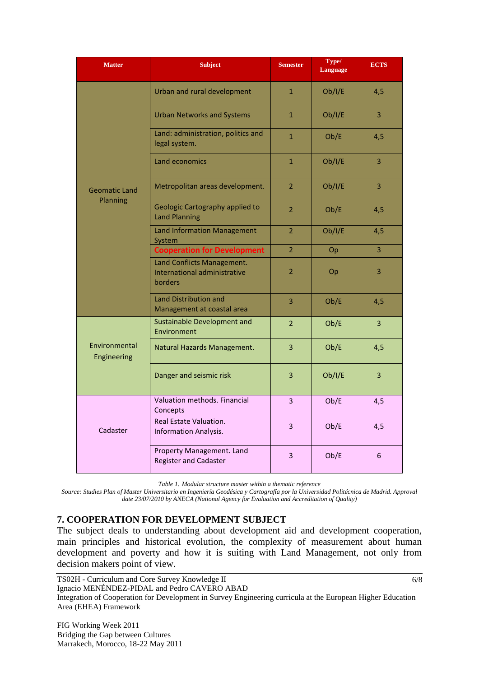| <b>Matter</b>                    | <b>Subject</b>                                                        | <b>Semester</b> | Type/<br><b>Language</b> | <b>ECTS</b>    |
|----------------------------------|-----------------------------------------------------------------------|-----------------|--------------------------|----------------|
| <b>Geomatic Land</b><br>Planning | Urban and rural development                                           | $\mathbf{1}$    | Ob/I/E                   | 4,5            |
|                                  | <b>Urban Networks and Systems</b>                                     | $\overline{1}$  | Ob/I/E                   | 3              |
|                                  | Land: administration, politics and<br>legal system.                   | $\mathbf{1}$    | Ob/E                     | 4,5            |
|                                  | Land economics                                                        | $\mathbf{1}$    | Ob/I/E                   | $\overline{3}$ |
|                                  | Metropolitan areas development.                                       | $\overline{2}$  | Ob/I/E                   | $\overline{3}$ |
|                                  | <b>Geologic Cartography applied to</b><br><b>Land Planning</b>        | $\overline{2}$  | Ob/E                     | 4,5            |
|                                  | <b>Land Information Management</b><br>System                          | $\overline{2}$  | Ob/I/E                   | 4,5            |
|                                  | <b>Cooperation for Development</b>                                    | $\overline{2}$  | Op                       | $\overline{3}$ |
|                                  | Land Conflicts Management.<br>International administrative<br>borders | 2               | <b>Op</b>                | 3              |
|                                  | <b>Land Distribution and</b><br>Management at coastal area            | 3               | Ob/E                     | 4,5            |
| Environmental<br>Engineering     | <b>Sustainable Development and</b><br>Environment                     | $\overline{2}$  | Ob/E                     | 3              |
|                                  | Natural Hazards Management.                                           | 3               | Ob/E                     | 4,5            |
|                                  | Danger and seismic risk                                               | 3               | Ob/I/E                   | 3              |
| Cadaster                         | Valuation methods. Financial<br>Concepts                              | 3               | Ob/E                     | 4,5            |
|                                  | Real Estate Valuation.<br><b>Information Analysis.</b>                | 3               | Ob/E                     | 4,5            |
|                                  | Property Management. Land<br><b>Register and Cadaster</b>             | $\overline{3}$  | Ob/E                     | 6              |

*Table 1. Modular structure master within a thematic reference*

*Source: Studies Plan of Master Universitario en Ingeniería Geodésica y Cartografía por la Universidad Politécnica de Madrid. Approval date 23/07/2010 by ANECA (National Agency for Evaluation and Accreditation of Quality)*

### **7. COOPERATION FOR DEVELOPMENT SUBJECT**

The subject deals to understanding about development aid and development cooperation, main principles and historical evolution, the complexity of measurement about human development and poverty and how it is suiting with Land Management, not only from decision makers point of view.

6/8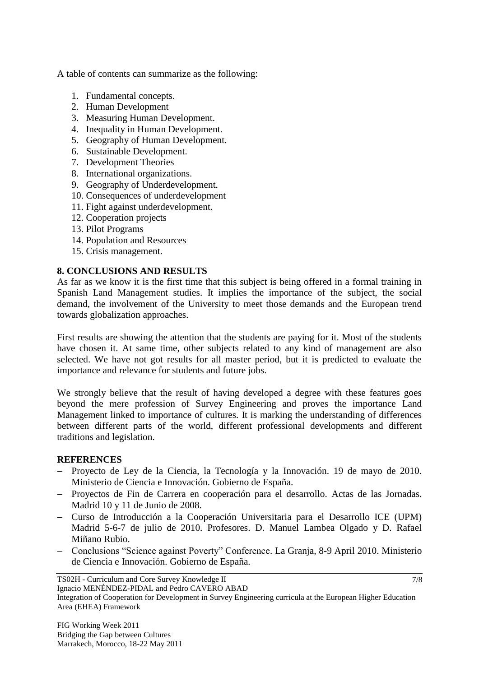A table of contents can summarize as the following:

- 1. Fundamental concepts.
- 2. Human Development
- 3. Measuring Human Development.
- 4. Inequality in Human Development.
- 5. Geography of Human Development.
- 6. Sustainable Development.
- 7. Development Theories
- 8. International organizations.
- 9. Geography of Underdevelopment.
- 10. Consequences of underdevelopment
- 11. Fight against underdevelopment.
- 12. Cooperation projects
- 13. Pilot Programs
- 14. Population and Resources
- 15. Crisis management.

### **8. CONCLUSIONS AND RESULTS**

As far as we know it is the first time that this subject is being offered in a formal training in Spanish Land Management studies. It implies the importance of the subject, the social demand, the involvement of the University to meet those demands and the European trend towards globalization approaches.

First results are showing the attention that the students are paying for it. Most of the students have chosen it. At same time, other subjects related to any kind of management are also selected. We have not got results for all master period, but it is predicted to evaluate the importance and relevance for students and future jobs.

We strongly believe that the result of having developed a degree with these features goes beyond the mere profession of Survey Engineering and proves the importance Land Management linked to importance of cultures. It is marking the understanding of differences between different parts of the world, different professional developments and different traditions and legislation.

### **REFERENCES**

- Proyecto de Ley de la Ciencia, la Tecnología y la Innovación. 19 de mayo de 2010. Ministerio de Ciencia e Innovación. Gobierno de España.
- Proyectos de Fin de Carrera en cooperación para el desarrollo. Actas de las Jornadas. Madrid 10 y 11 de Junio de 2008.
- Curso de Introducción a la Cooperación Universitaria para el Desarrollo ICE (UPM) Madrid 5-6-7 de julio de 2010. Profesores. D. Manuel Lambea Olgado y D. Rafael Miñano Rubio.
- Conclusions "Science against Poverty" Conference. La Granja, 8-9 April 2010. Ministerio de Ciencia e Innovación. Gobierno de España.

TS02H - Curriculum and Core Survey Knowledge II

Ignacio MENÉNDEZ-PIDAL and Pedro CAVERO ABAD

Integration of Cooperation for Development in Survey Engineering curricula at the European Higher Education Area (EHEA) Framework